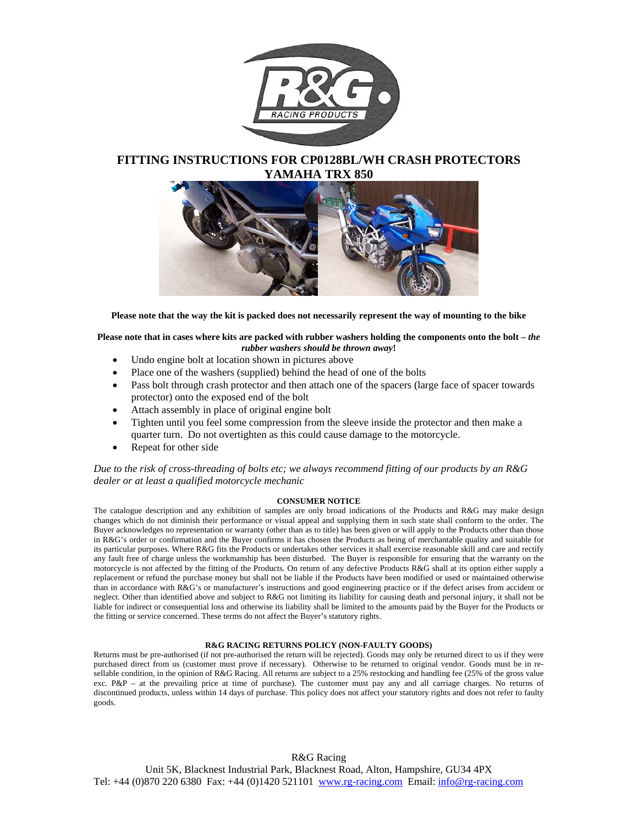

### **FITTING INSTRUCTIONS FOR CP0128BL/WH CRASH PROTECTORS YAMAHA TRX 850**



**Please note that the way the kit is packed does not necessarily represent the way of mounting to the bike** 

#### Please note that in cases where kits are packed with rubber washers holding the components onto the bolt – *the rubber washers should be thrown away***!**

- Undo engine bolt at location shown in pictures above
- Place one of the washers (supplied) behind the head of one of the bolts
- Pass bolt through crash protector and then attach one of the spacers (large face of spacer towards protector) onto the exposed end of the bolt
- Attach assembly in place of original engine bolt
- Tighten until you feel some compression from the sleeve inside the protector and then make a quarter turn. Do not overtighten as this could cause damage to the motorcycle.
- Repeat for other side

*Due to the risk of cross-threading of bolts etc; we always recommend fitting of our products by an R&G dealer or at least a qualified motorcycle mechanic* 

#### **CONSUMER NOTICE**

The catalogue description and any exhibition of samples are only broad indications of the Products and R&G may make design changes which do not diminish their performance or visual appeal and supplying them in such state shall conform to the order. The Buyer acknowledges no representation or warranty (other than as to title) has been given or will apply to the Products other than those in R&G's order or confirmation and the Buyer confirms it has chosen the Products as being of merchantable quality and suitable for its particular purposes. Where R&G fits the Products or undertakes other services it shall exercise reasonable skill and care and rectify any fault free of charge unless the workmanship has been disturbed. The Buyer is responsible for ensuring that the warranty on the motorcycle is not affected by the fitting of the Products. On return of any defective Products R&G shall at its option either supply a replacement or refund the purchase money but shall not be liable if the Products have been modified or used or maintained otherwise than in accordance with R&G's or manufacturer's instructions and good engineering practice or if the defect arises from accident or neglect. Other than identified above and subject to R&G not limiting its liability for causing death and personal injury, it shall not be liable for indirect or consequential loss and otherwise its liability shall be limited to the amounts paid by the Buyer for the Products or the fitting or service concerned. These terms do not affect the Buyer's statutory rights.

#### **R&G RACING RETURNS POLICY (NON-FAULTY GOODS)**

Returns must be pre-authorised (if not pre-authorised the return will be rejected). Goods may only be returned direct to us if they were purchased direct from us (customer must prove if necessary). Otherwise to be returned to original vendor. Goods must be in resellable condition, in the opinion of R&G Racing. All returns are subject to a 25% restocking and handling fee (25% of the gross value exc. P&P – at the prevailing price at time of purchase). The customer must pay any and all carriage charges. No returns of discontinued products, unless within 14 days of purchase. This policy does not affect your statutory rights and does not refer to faulty goods.

#### R&G Racing

Unit 5K, Blacknest Industrial Park, Blacknest Road, Alton, Hampshire, GU34 4PX Tel: +44 (0) 870 220 6380 Fax: +44 (0) 1420 521101 www.rg-racing.com Email: info@rg-racing.com